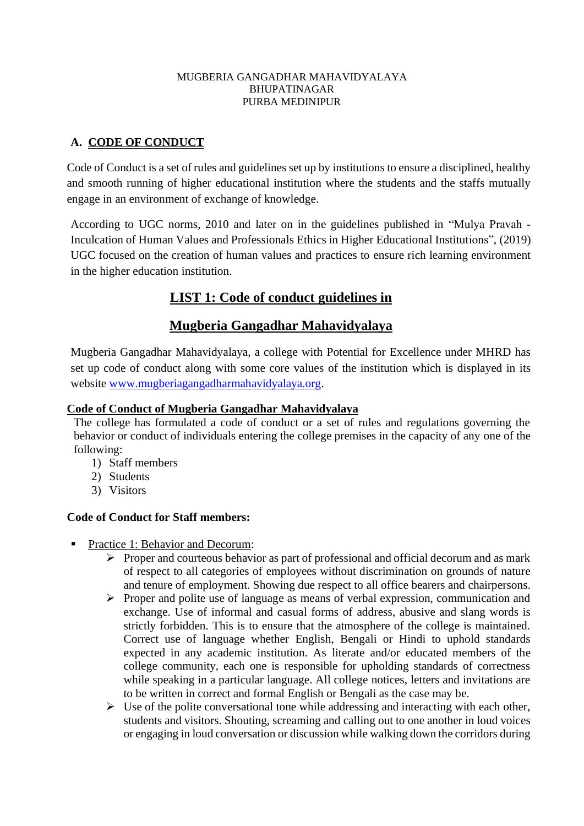#### MUGBERIA GANGADHAR MAHAVIDYALAYA BHUPATINAGAR PURBA MEDINIPUR

## **A. CODE OF CONDUCT**

Code of Conduct is a set of rules and guidelines set up by institutions to ensure a disciplined, healthy and smooth running of higher educational institution where the students and the staffs mutually engage in an environment of exchange of knowledge.

According to UGC norms, 2010 and later on in the guidelines published in "Mulya Pravah - Inculcation of Human Values and Professionals Ethics in Higher Educational Institutions", (2019) UGC focused on the creation of human values and practices to ensure rich learning environment in the higher education institution.

# **LIST 1: Code of conduct guidelines in**

## **Mugberia Gangadhar Mahavidyalaya**

Mugberia Gangadhar Mahavidyalaya, a college with Potential for Excellence under MHRD has set up code of conduct along with some core values of the institution which is displayed in its website [www.mugberiagangadharmahavidyalaya.org.](http://www.mugberiagangadharmahavidyalaya.org/)

### **Code of Conduct of Mugberia Gangadhar Mahavidyalaya**

The college has formulated a code of conduct or a set of rules and regulations governing the behavior or conduct of individuals entering the college premises in the capacity of any one of the following:

- 1) Staff members
- 2) Students
- 3) Visitors

#### **Code of Conduct for Staff members:**

- Practice 1: Behavior and Decorum:
	- ➢ Proper and courteous behavior as part of professional and official decorum and as mark of respect to all categories of employees without discrimination on grounds of nature and tenure of employment. Showing due respect to all office bearers and chairpersons.
	- ➢ Proper and polite use of language as means of verbal expression, communication and exchange. Use of informal and casual forms of address, abusive and slang words is strictly forbidden. This is to ensure that the atmosphere of the college is maintained. Correct use of language whether English, Bengali or Hindi to uphold standards expected in any academic institution. As literate and/or educated members of the college community, each one is responsible for upholding standards of correctness while speaking in a particular language. All college notices, letters and invitations are to be written in correct and formal English or Bengali as the case may be.
	- $\triangleright$  Use of the polite conversational tone while addressing and interacting with each other, students and visitors. Shouting, screaming and calling out to one another in loud voices or engaging in loud conversation or discussion while walking down the corridors during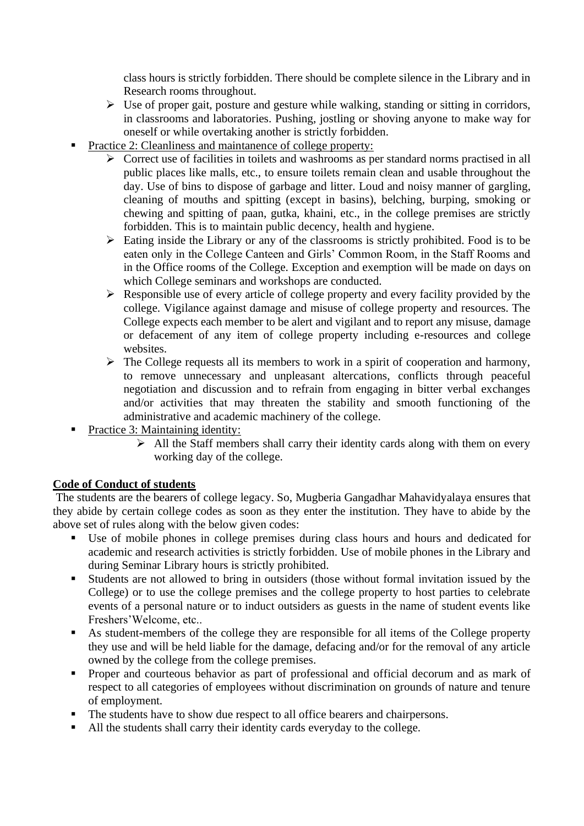class hours is strictly forbidden. There should be complete silence in the Library and in Research rooms throughout.

- ➢ Use of proper gait, posture and gesture while walking, standing or sitting in corridors, in classrooms and laboratories. Pushing, jostling or shoving anyone to make way for oneself or while overtaking another is strictly forbidden.
- Practice 2: Cleanliness and maintanence of college property:
	- ➢ Correct use of facilities in toilets and washrooms as per standard norms practised in all public places like malls, etc., to ensure toilets remain clean and usable throughout the day. Use of bins to dispose of garbage and litter. Loud and noisy manner of gargling, cleaning of mouths and spitting (except in basins), belching, burping, smoking or chewing and spitting of paan, gutka, khaini, etc., in the college premises are strictly forbidden. This is to maintain public decency, health and hygiene.
	- ➢ Eating inside the Library or any of the classrooms is strictly prohibited. Food is to be eaten only in the College Canteen and Girls' Common Room, in the Staff Rooms and in the Office rooms of the College. Exception and exemption will be made on days on which College seminars and workshops are conducted.
	- ➢ Responsible use of every article of college property and every facility provided by the college. Vigilance against damage and misuse of college property and resources. The College expects each member to be alert and vigilant and to report any misuse, damage or defacement of any item of college property including e-resources and college websites.
	- $\triangleright$  The College requests all its members to work in a spirit of cooperation and harmony, to remove unnecessary and unpleasant altercations, conflicts through peaceful negotiation and discussion and to refrain from engaging in bitter verbal exchanges and/or activities that may threaten the stability and smooth functioning of the administrative and academic machinery of the college.
- $\blacksquare$  Practice 3: Maintaining identity:
	- ➢ All the Staff members shall carry their identity cards along with them on every working day of the college.

## **Code of Conduct of students**

The students are the bearers of college legacy. So, Mugberia Gangadhar Mahavidyalaya ensures that they abide by certain college codes as soon as they enter the institution. They have to abide by the above set of rules along with the below given codes:

- Use of mobile phones in college premises during class hours and hours and dedicated for academic and research activities is strictly forbidden. Use of mobile phones in the Library and during Seminar Library hours is strictly prohibited.
- Students are not allowed to bring in outsiders (those without formal invitation issued by the College) or to use the college premises and the college property to host parties to celebrate events of a personal nature or to induct outsiders as guests in the name of student events like Freshers'Welcome, etc..
- As student-members of the college they are responsible for all items of the College property they use and will be held liable for the damage, defacing and/or for the removal of any article owned by the college from the college premises.
- Proper and courteous behavior as part of professional and official decorum and as mark of respect to all categories of employees without discrimination on grounds of nature and tenure of employment.
- The students have to show due respect to all office bearers and chairpersons.
- All the students shall carry their identity cards everyday to the college.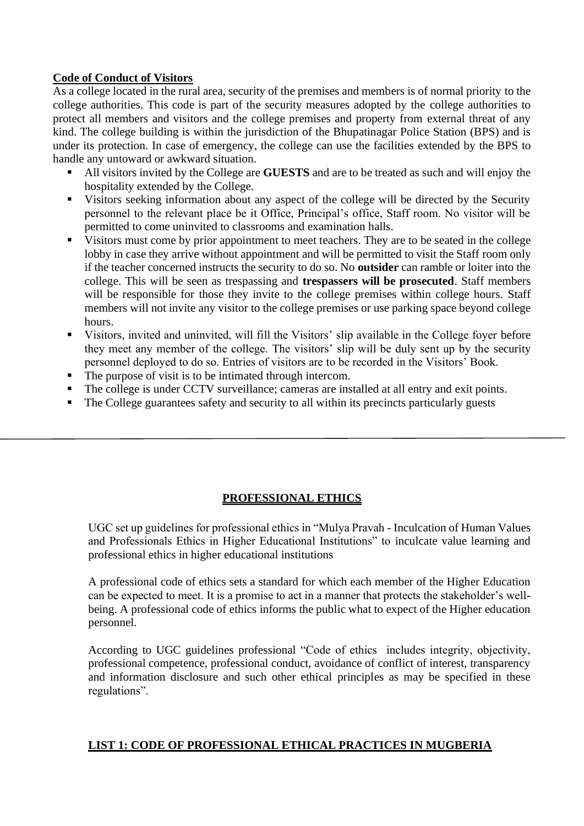### **Code of Conduct of Visitors**

As a college located in the rural area, security of the premises and members is of normal priority to the college authorities. This code is part of the security measures adopted by the college authorities to protect all members and visitors and the college premises and property from external threat of any kind. The college building is within the jurisdiction of the Bhupatinagar Police Station (BPS) and is under its protection. In case of emergency, the college can use the facilities extended by the BPS to handle any untoward or awkward situation.

- All visitors invited by the College are **GUESTS** and are to be treated as such and will enjoy the hospitality extended by the College.
- Visitors seeking information about any aspect of the college will be directed by the Security personnel to the relevant place be it Office, Principal's office, Staff room. No visitor will be permitted to come uninvited to classrooms and examination halls.
- Visitors must come by prior appointment to meet teachers. They are to be seated in the college lobby in case they arrive without appointment and will be permitted to visit the Staff room only if the teacher concerned instructs the security to do so. No **outsider** can ramble or loiter into the college. This will be seen as trespassing and **trespassers will be prosecuted**. Staff members will be responsible for those they invite to the college premises within college hours. Staff members will not invite any visitor to the college premises or use parking space beyond college hours.
- Visitors, invited and uninvited, will fill the Visitors' slip available in the College foyer before they meet any member of the college. The visitors' slip will be duly sent up by the security personnel deployed to do so. Entries of visitors are to be recorded in the Visitors' Book.
- The purpose of visit is to be intimated through intercom.
- The college is under CCTV surveillance; cameras are installed at all entry and exit points.
- The College guarantees safety and security to all within its precincts particularly guests

#### **PROFESSIONAL ETHICS**

UGC set up guidelines for professional ethics in "Mulya Pravah - Inculcation of Human Values and Professionals Ethics in Higher Educational Institutions" to inculcate value learning and professional ethics in higher educational institutions

A professional code of ethics sets a standard for which each member of the Higher Education can be expected to meet. It is a promise to act in a manner that protects the stakeholder's wellbeing. A professional code of ethics informs the public what to expect of the Higher education personnel.

According to UGC guidelines professional "Code of ethics includes integrity, objectivity, professional competence, professional conduct, avoidance of conflict of interest, transparency and information disclosure and such other ethical principles as may be specified in these regulations".

#### **LIST 1: CODE OF PROFESSIONAL ETHICAL PRACTICES IN MUGBERIA**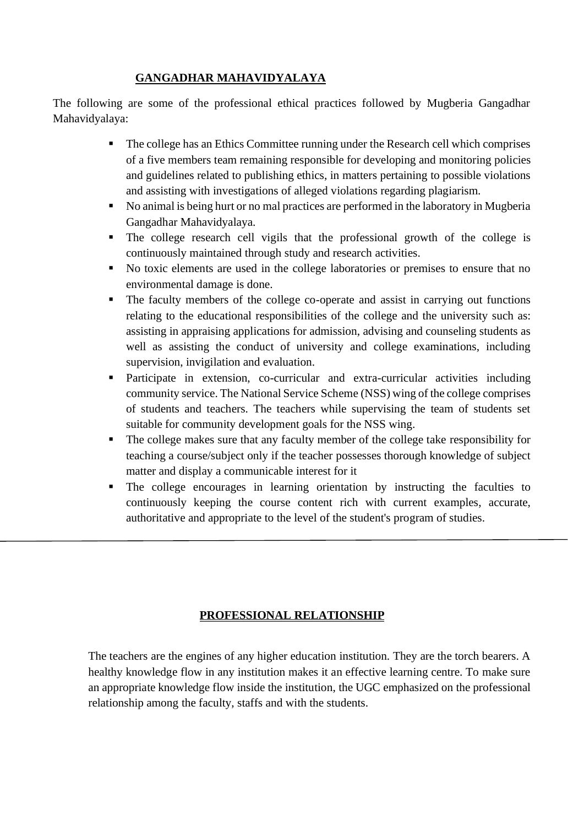## **GANGADHAR MAHAVIDYALAYA**

The following are some of the professional ethical practices followed by Mugberia Gangadhar Mahavidyalaya:

- The college has an Ethics Committee running under the Research cell which comprises of a five members team remaining responsible for developing and monitoring policies and guidelines related to publishing ethics, in matters pertaining to possible violations and assisting with investigations of alleged violations regarding plagiarism.
- No animal is being hurt or no mal practices are performed in the laboratory in Mugberia Gangadhar Mahavidyalaya.
- The college research cell vigils that the professional growth of the college is continuously maintained through study and research activities.
- No toxic elements are used in the college laboratories or premises to ensure that no environmental damage is done.
- The faculty members of the college co-operate and assist in carrying out functions relating to the educational responsibilities of the college and the university such as: assisting in appraising applications for admission, advising and counseling students as well as assisting the conduct of university and college examinations, including supervision, invigilation and evaluation.
- Participate in extension, co-curricular and extra-curricular activities including community service. The National Service Scheme (NSS) wing of the college comprises of students and teachers. The teachers while supervising the team of students set suitable for community development goals for the NSS wing.
- The college makes sure that any faculty member of the college take responsibility for teaching a course/subject only if the teacher possesses thorough knowledge of subject matter and display a communicable interest for it
- The college encourages in learning orientation by instructing the faculties to continuously keeping the course content rich with current examples, accurate, authoritative and appropriate to the level of the student's program of studies.

## **PROFESSIONAL RELATIONSHIP**

The teachers are the engines of any higher education institution. They are the torch bearers. A healthy knowledge flow in any institution makes it an effective learning centre. To make sure an appropriate knowledge flow inside the institution, the UGC emphasized on the professional relationship among the faculty, staffs and with the students.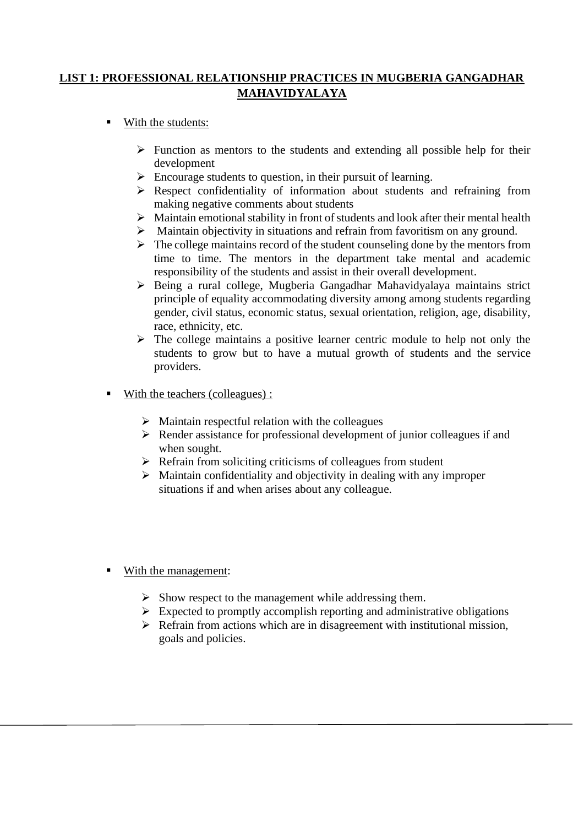## **LIST 1: PROFESSIONAL RELATIONSHIP PRACTICES IN MUGBERIA GANGADHAR MAHAVIDYALAYA**

- With the students:
	- $\triangleright$  Function as mentors to the students and extending all possible help for their development
	- $\triangleright$  Encourage students to question, in their pursuit of learning.
	- ➢ Respect confidentiality of information about students and refraining from making negative comments about students
	- ➢ Maintain emotional stability in front of students and look after their mental health
	- ➢ Maintain objectivity in situations and refrain from favoritism on any ground.
	- $\triangleright$  The college maintains record of the student counseling done by the mentors from time to time. The mentors in the department take mental and academic responsibility of the students and assist in their overall development.
	- ➢ Being a rural college, Mugberia Gangadhar Mahavidyalaya maintains strict principle of equality accommodating diversity among among students regarding gender, civil status, economic status, sexual orientation, religion, age, disability, race, ethnicity, etc.
	- $\triangleright$  The college maintains a positive learner centric module to help not only the students to grow but to have a mutual growth of students and the service providers.
- With the teachers (colleagues) :
	- $\triangleright$  Maintain respectful relation with the colleagues
	- ➢ Render assistance for professional development of junior colleagues if and when sought.
	- $\triangleright$  Refrain from soliciting criticisms of colleagues from student
	- $\triangleright$  Maintain confidentiality and objectivity in dealing with any improper situations if and when arises about any colleague.
- With the management:
	- $\triangleright$  Show respect to the management while addressing them.
	- $\triangleright$  Expected to promptly accomplish reporting and administrative obligations
	- $\triangleright$  Refrain from actions which are in disagreement with institutional mission, goals and policies.